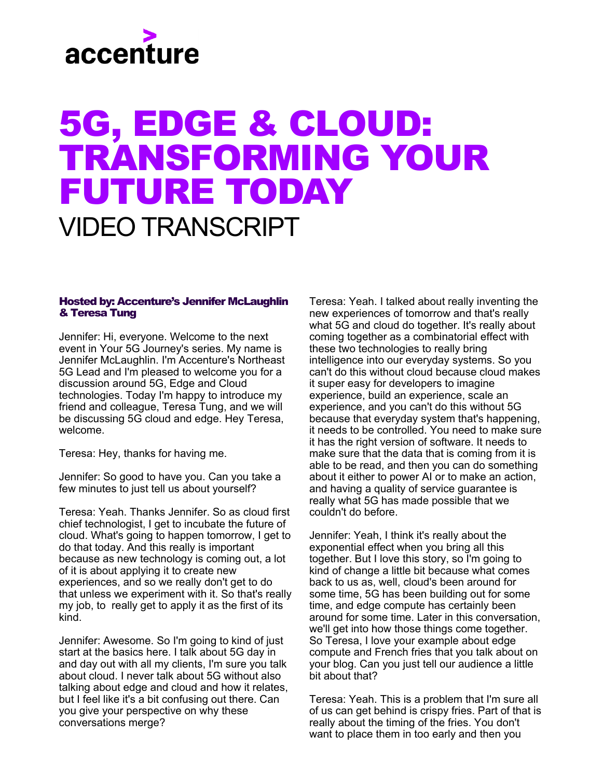# accenture

### 5G, EDGE & CLOUD: TRANSFORMING YOUR FUTURE TODAY VIDEO TRANSCRIPT

#### Hosted by: Accenture's Jennifer McLaughlin & Teresa Tung

Jennifer: Hi, everyone. Welcome to the next event in Your 5G Journey's series. My name is Jennifer McLaughlin. I'm Accenture's Northeast 5G Lead and I'm pleased to welcome you for a discussion around 5G, Edge and Cloud technologies. Today I'm happy to introduce my friend and colleague, Teresa Tung, and we will be discussing 5G cloud and edge. Hey Teresa, welcome.

Teresa: Hey, thanks for having me.

Jennifer: So good to have you. Can you take a few minutes to just tell us about yourself?

Teresa: Yeah. Thanks Jennifer. So as cloud first chief technologist, I get to incubate the future of cloud. What's going to happen tomorrow, I get to do that today. And this really is important because as new technology is coming out, a lot of it is about applying it to create new experiences, and so we really don't get to do that unless we experiment with it. So that's really my job, to really get to apply it as the first of its kind.

Jennifer: Awesome. So I'm going to kind of just start at the basics here. I talk about 5G day in and day out with all my clients, I'm sure you talk about cloud. I never talk about 5G without also talking about edge and cloud and how it relates, but I feel like it's a bit confusing out there. Can you give your perspective on why these conversations merge?

Teresa: Yeah. I talked about really inventing the new experiences of tomorrow and that's really what 5G and cloud do together. It's really about coming together as a combinatorial effect with these two technologies to really bring intelligence into our everyday systems. So you can't do this without cloud because cloud makes it super easy for developers to imagine experience, build an experience, scale an experience, and you can't do this without 5G because that everyday system that's happening, it needs to be controlled. You need to make sure it has the right version of software. It needs to make sure that the data that is coming from it is able to be read, and then you can do something about it either to power AI or to make an action, and having a quality of service guarantee is really what 5G has made possible that we couldn't do before.

Jennifer: Yeah, I think it's really about the exponential effect when you bring all this together. But I love this story, so I'm going to kind of change a little bit because what comes back to us as, well, cloud's been around for some time, 5G has been building out for some time, and edge compute has certainly been around for some time. Later in this conversation, we'll get into how those things come together. So Teresa, I love your example about edge compute and French fries that you talk about on your blog. Can you just tell our audience a little bit about that?

Teresa: Yeah. This is a problem that I'm sure all of us can get behind is crispy fries. Part of that is really about the timing of the fries. You don't want to place them in too early and then you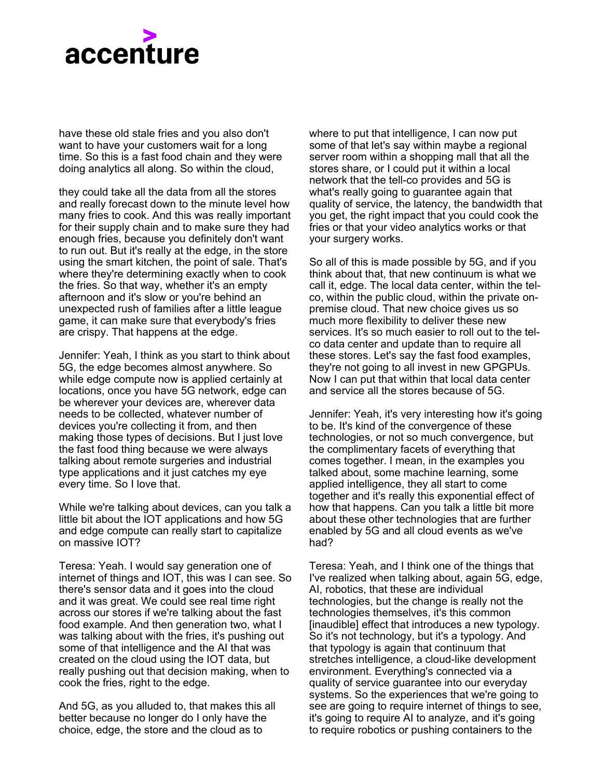

have these old stale fries and you also don't want to have your customers wait for a long time. So this is a fast food chain and they were doing analytics all along. So within the cloud,

they could take all the data from all the stores and really forecast down to the minute level how many fries to cook. And this was really important for their supply chain and to make sure they had enough fries, because you definitely don't want to run out. But it's really at the edge, in the store using the smart kitchen, the point of sale. That's where they're determining exactly when to cook the fries. So that way, whether it's an empty afternoon and it's slow or you're behind an unexpected rush of families after a little league game, it can make sure that everybody's fries are crispy. That happens at the edge.

Jennifer: Yeah, I think as you start to think about 5G, the edge becomes almost anywhere. So while edge compute now is applied certainly at locations, once you have 5G network, edge can be wherever your devices are, wherever data needs to be collected, whatever number of devices you're collecting it from, and then making those types of decisions. But I just love the fast food thing because we were always talking about remote surgeries and industrial type applications and it just catches my eye every time. So I love that.

While we're talking about devices, can you talk a little bit about the IOT applications and how 5G and edge compute can really start to capitalize on massive IOT?

Teresa: Yeah. I would say generation one of internet of things and IOT, this was I can see. So there's sensor data and it goes into the cloud and it was great. We could see real time right across our stores if we're talking about the fast food example. And then generation two, what I was talking about with the fries, it's pushing out some of that intelligence and the AI that was created on the cloud using the IOT data, but really pushing out that decision making, when to cook the fries, right to the edge.

And 5G, as you alluded to, that makes this all better because no longer do I only have the choice, edge, the store and the cloud as to

where to put that intelligence, I can now put some of that let's say within maybe a regional server room within a shopping mall that all the stores share, or I could put it within a local network that the tell-co provides and 5G is what's really going to guarantee again that quality of service, the latency, the bandwidth that you get, the right impact that you could cook the fries or that your video analytics works or that your surgery works.

So all of this is made possible by 5G, and if you think about that, that new continuum is what we call it, edge. The local data center, within the telco, within the public cloud, within the private onpremise cloud. That new choice gives us so much more flexibility to deliver these new services. It's so much easier to roll out to the telco data center and update than to require all these stores. Let's say the fast food examples, they're not going to all invest in new GPGPUs. Now I can put that within that local data center and service all the stores because of 5G.

Jennifer: Yeah, it's very interesting how it's going to be. It's kind of the convergence of these technologies, or not so much convergence, but the complimentary facets of everything that comes together. I mean, in the examples you talked about, some machine learning, some applied intelligence, they all start to come together and it's really this exponential effect of how that happens. Can you talk a little bit more about these other technologies that are further enabled by 5G and all cloud events as we've had?

Teresa: Yeah, and I think one of the things that I've realized when talking about, again 5G, edge, AI, robotics, that these are individual technologies, but the change is really not the technologies themselves, it's this common [inaudible] effect that introduces a new typology. So it's not technology, but it's a typology. And that typology is again that continuum that stretches intelligence, a cloud-like development environment. Everything's connected via a quality of service guarantee into our everyday systems. So the experiences that we're going to see are going to require internet of things to see, it's going to require AI to analyze, and it's going to require robotics or pushing containers to the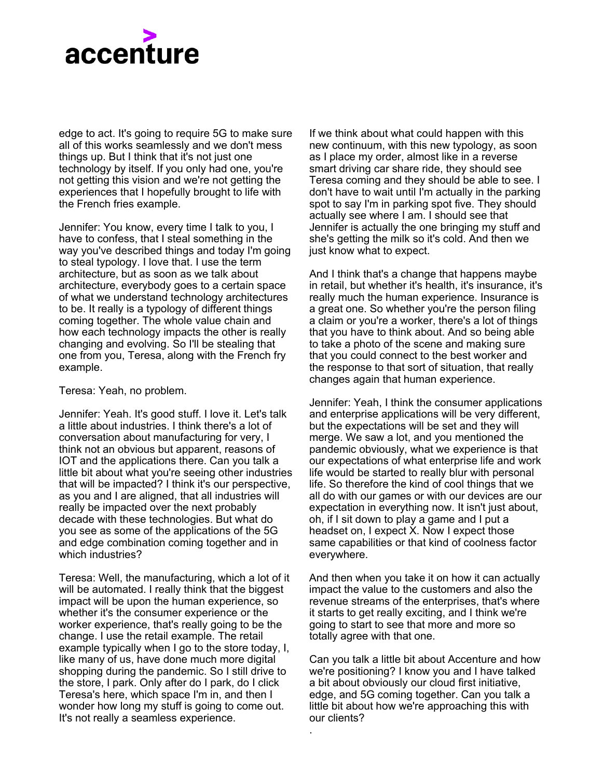## accenture

edge to act. It's going to require 5G to make sure all of this works seamlessly and we don't mess things up. But I think that it's not just one technology by itself. If you only had one, you're not getting this vision and we're not getting the experiences that I hopefully brought to life with the French fries example.

Jennifer: You know, every time I talk to you, I have to confess, that I steal something in the way you've described things and today I'm going to steal typology. I love that. I use the term architecture, but as soon as we talk about architecture, everybody goes to a certain space of what we understand technology architectures to be. It really is a typology of different things coming together. The whole value chain and how each technology impacts the other is really changing and evolving. So I'll be stealing that one from you, Teresa, along with the French fry example.

Teresa: Yeah, no problem.

Jennifer: Yeah. It's good stuff. I love it. Let's talk a little about industries. I think there's a lot of conversation about manufacturing for very, I think not an obvious but apparent, reasons of IOT and the applications there. Can you talk a little bit about what you're seeing other industries that will be impacted? I think it's our perspective, as you and I are aligned, that all industries will really be impacted over the next probably decade with these technologies. But what do you see as some of the applications of the 5G and edge combination coming together and in which industries?

Teresa: Well, the manufacturing, which a lot of it will be automated. I really think that the biggest impact will be upon the human experience, so whether it's the consumer experience or the worker experience, that's really going to be the change. I use the retail example. The retail example typically when I go to the store today, I, like many of us, have done much more digital shopping during the pandemic. So I still drive to the store, I park. Only after do I park, do I click Teresa's here, which space I'm in, and then I wonder how long my stuff is going to come out. It's not really a seamless experience.

If we think about what could happen with this new continuum, with this new typology, as soon as I place my order, almost like in a reverse smart driving car share ride, they should see Teresa coming and they should be able to see. I don't have to wait until I'm actually in the parking spot to say I'm in parking spot five. They should actually see where I am. I should see that Jennifer is actually the one bringing my stuff and she's getting the milk so it's cold. And then we just know what to expect.

And I think that's a change that happens maybe in retail, but whether it's health, it's insurance, it's really much the human experience. Insurance is a great one. So whether you're the person filing a claim or you're a worker, there's a lot of things that you have to think about. And so being able to take a photo of the scene and making sure that you could connect to the best worker and the response to that sort of situation, that really changes again that human experience.

Jennifer: Yeah, I think the consumer applications and enterprise applications will be very different, but the expectations will be set and they will merge. We saw a lot, and you mentioned the pandemic obviously, what we experience is that our expectations of what enterprise life and work life would be started to really blur with personal life. So therefore the kind of cool things that we all do with our games or with our devices are our expectation in everything now. It isn't just about, oh, if I sit down to play a game and I put a headset on, I expect X. Now I expect those same capabilities or that kind of coolness factor everywhere.

And then when you take it on how it can actually impact the value to the customers and also the revenue streams of the enterprises, that's where it starts to get really exciting, and I think we're going to start to see that more and more so totally agree with that one.

Can you talk a little bit about Accenture and how we're positioning? I know you and I have talked a bit about obviously our cloud first initiative, edge, and 5G coming together. Can you talk a little bit about how we're approaching this with our clients?

.